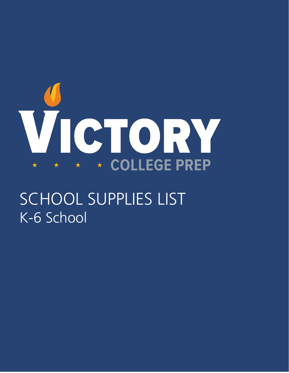

SCHOOL SUPPLIES LIST K-6 School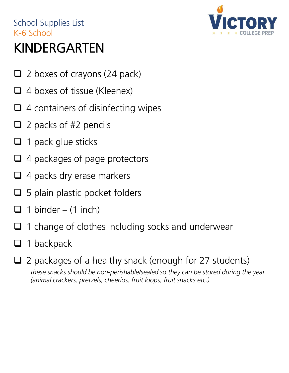### School Supplies List K-6 School KINDERGARTEN



- $\Box$  2 boxes of crayons (24 pack)
- $\Box$  4 boxes of tissue (Kleenex)
- $\Box$  4 containers of disinfecting wipes
- $\Box$  2 packs of #2 pencils
- $\Box$  1 pack glue sticks
- $\Box$  4 packages of page protectors
- $\Box$  4 packs dry erase markers
- $\Box$  5 plain plastic pocket folders
- $\Box$  1 binder (1 inch)
- 1 change of clothes including socks and underwear
- $\Box$  1 backpack
- $\Box$  2 packages of a healthy snack (enough for 27 students) *these snacks should be non-perishable/sealed so they can be stored during the year (animal crackers, pretzels, cheerios, fruit loops, fruit snacks etc.)*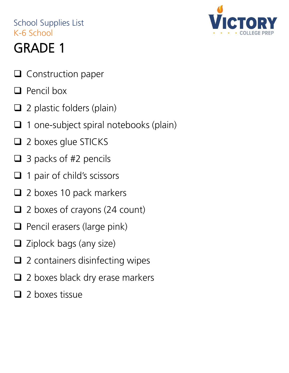- $\Box$  Construction paper
- $\Box$  Pencil box
- $\Box$  2 plastic folders (plain)
- $\Box$  1 one-subject spiral notebooks (plain)
- □ 2 boxes glue STICKS
- $\Box$  3 packs of #2 pencils
- $\Box$  1 pair of child's scissors
- $\Box$  2 boxes 10 pack markers
- $\square$  2 boxes of crayons (24 count)
- $\Box$  Pencil erasers (large pink)
- $\Box$  Ziplock bags (any size)
- $\Box$  2 containers disinfecting wipes
- $\Box$  2 boxes black dry erase markers
- $\Box$  2 boxes tissue

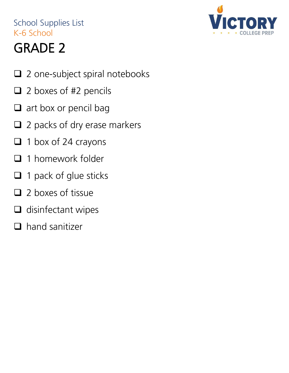

- □ 2 one-subject spiral notebooks
- $\Box$  2 boxes of #2 pencils
- $\Box$  art box or pencil bag
- $\Box$  2 packs of dry erase markers
- $\Box$  1 box of 24 crayons
- $\Box$  1 homework folder
- $\Box$  1 pack of glue sticks
- $\Box$  2 boxes of tissue
- $\Box$  disinfectant wipes
- $\Box$  hand sanitizer

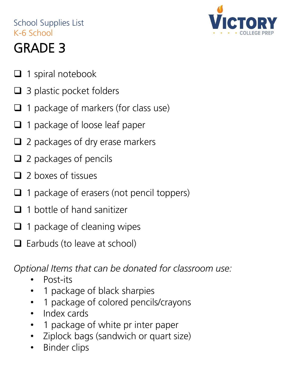

### GRADE 3

- $\Box$  1 spiral notebook
- $\Box$  3 plastic pocket folders
- $\Box$  1 package of markers (for class use)
- $\Box$  1 package of loose leaf paper
- $\Box$  2 packages of dry erase markers
- $\Box$  2 packages of pencils
- $\Box$  2 boxes of tissues
- $\Box$  1 package of erasers (not pencil toppers)
- $\Box$  1 bottle of hand sanitizer
- $\Box$  1 package of cleaning wipes
- $\Box$  Earbuds (to leave at school)

*Optional Items that can be donated for classroom use:*

- Post-its
- 1 package of black sharpies
- 1 package of colored pencils/crayons
- Index cards
- 1 package of white pr inter paper
- Ziplock bags (sandwich or quart size)
- Binder clips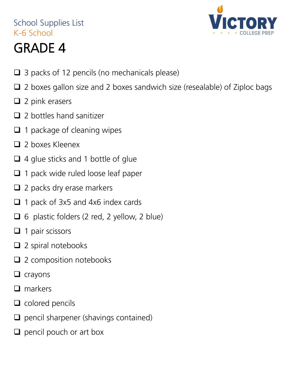

- $\Box$  3 packs of 12 pencils (no mechanicals please)
- $\Box$  2 boxes gallon size and 2 boxes sandwich size (resealable) of Ziploc bags
- $\Box$  2 pink erasers
- $\Box$  2 bottles hand sanitizer
- $\Box$  1 package of cleaning wipes
- □ 2 boxes Kleenex
- □ 4 glue sticks and 1 bottle of glue
- $\Box$  1 pack wide ruled loose leaf paper
- $\Box$  2 packs dry erase markers
- $\Box$  1 pack of 3x5 and 4x6 index cards
- $\Box$  6 plastic folders (2 red, 2 yellow, 2 blue)
- $\Box$  1 pair scissors
- $\Box$  2 spiral notebooks
- □ 2 composition notebooks
- $\Box$  crayons
- $\Box$  markers
- $\Box$  colored pencils
- $\Box$  pencil sharpener (shavings contained)
- $\Box$  pencil pouch or art box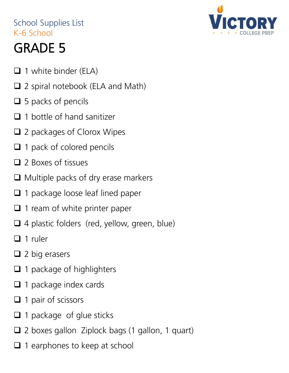- $\Box$  1 white binder (ELA)
- □ 2 spiral notebook (ELA and Math)
- $\Box$  5 packs of pencils
- $\Box$  1 bottle of hand sanitizer
- □ 2 packages of Clorox Wipes
- □ 1 pack of colored pencils
- □ 2 Boxes of tissues
- $\Box$  Multiple packs of dry erase markers
- □ 1 package loose leaf lined paper
- $\Box$  1 ream of white printer paper
- □ 4 plastic folders (red, yellow, green, blue)
- $\Box$  1 ruler
- $\Box$  2 big erasers
- $\Box$  1 package of highlighters
- $\Box$  1 package index cards
- $\Box$  1 pair of scissors
- $\Box$  1 package of glue sticks
- □ 2 boxes gallon Ziplock bags (1 gallon, 1 quart)
- $\Box$  1 earphones to keep at school